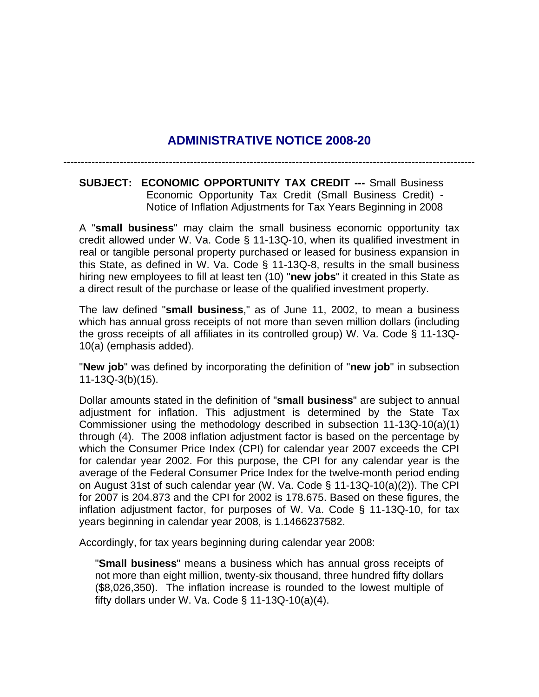# **ADMINISTRATIVE NOTICE 2008-20**

---------------------------------------------------------------------------------------------------------------------

**SUBJECT: ECONOMIC OPPORTUNITY TAX CREDIT ---** Small Business Economic Opportunity Tax Credit (Small Business Credit) - Notice of Inflation Adjustments for Tax Years Beginning in 2008

A "**small business**" may claim the small business economic opportunity tax credit allowed under W. Va. Code § 11-13Q-10, when its qualified investment in real or tangible personal property purchased or leased for business expansion in this State, as defined in W. Va. Code § 11-13Q-8, results in the small business hiring new employees to fill at least ten (10) "**new jobs**" it created in this State as a direct result of the purchase or lease of the qualified investment property.

The law defined "**small business**," as of June 11, 2002, to mean a business which has annual gross receipts of not more than seven million dollars (including the gross receipts of all affiliates in its controlled group) W. Va. Code § 11-13Q-10(a) (emphasis added).

"**New job**" was defined by incorporating the definition of "**new job**" in subsection 11-13Q-3(b)(15).

Dollar amounts stated in the definition of "**small business**" are subject to annual adjustment for inflation. This adjustment is determined by the State Tax Commissioner using the methodology described in subsection 11-13Q-10(a)(1) through (4). The 2008 inflation adjustment factor is based on the percentage by which the Consumer Price Index (CPI) for calendar year 2007 exceeds the CPI for calendar year 2002. For this purpose, the CPI for any calendar year is the average of the Federal Consumer Price Index for the twelve-month period ending on August 31st of such calendar year (W. Va. Code § 11-13Q-10(a)(2)). The CPI for 2007 is 204.873 and the CPI for 2002 is 178.675. Based on these figures, the inflation adjustment factor, for purposes of W. Va. Code § 11-13Q-10, for tax years beginning in calendar year 2008, is 1.1466237582.

Accordingly, for tax years beginning during calendar year 2008:

"**Small business**" means a business which has annual gross receipts of not more than eight million, twenty-six thousand, three hundred fifty dollars (\$8,026,350). The inflation increase is rounded to the lowest multiple of fifty dollars under W. Va. Code  $\S$  11-13Q-10(a)(4).